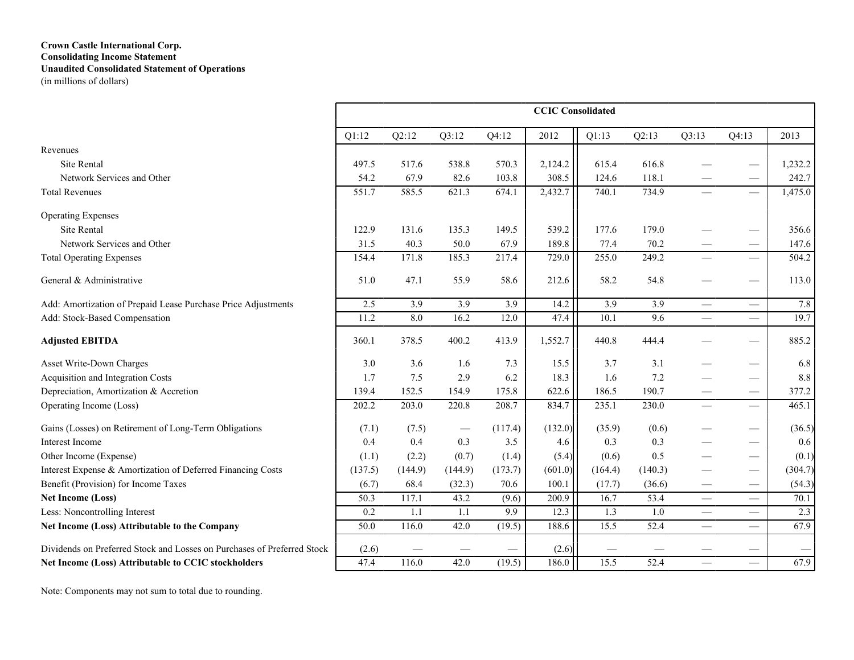# **Crown Castle International Corp. Consolidating Income Statement Unaudited Consolidated Statement of Operations**

(in millions of dollars)

|                                                                         |         |                  |         |                  | <b>CCIC</b> Consolidated |                  |                  |                          |                                 |         |
|-------------------------------------------------------------------------|---------|------------------|---------|------------------|--------------------------|------------------|------------------|--------------------------|---------------------------------|---------|
|                                                                         | Q1:12   | Q2:12            | Q3:12   | Q4:12            | 2012                     | Q1:13            | Q2:13            | Q3:13                    | Q4:13                           | 2013    |
| Revenues                                                                |         |                  |         |                  |                          |                  |                  |                          |                                 |         |
| <b>Site Rental</b>                                                      | 497.5   | 517.6            | 538.8   | 570.3            | 2,124.2                  | 615.4            | 616.8            |                          |                                 | 1,232.2 |
| Network Services and Other                                              | 54.2    | 67.9             | 82.6    | 103.8            | 308.5                    | 124.6            | 118.1            |                          |                                 | 242.7   |
| <b>Total Revenues</b>                                                   | 551.7   | 585.5            | 621.3   | 674.1            | 2,432.7                  | 740.1            | 734.9            | $\equiv$                 |                                 | 1,475.0 |
| <b>Operating Expenses</b>                                               |         |                  |         |                  |                          |                  |                  |                          |                                 |         |
| <b>Site Rental</b>                                                      | 122.9   | 131.6            | 135.3   | 149.5            | 539.2                    | 177.6            | 179.0            |                          |                                 | 356.6   |
| Network Services and Other                                              | 31.5    | 40.3             | 50.0    | 67.9             | 189.8                    | 77.4             | 70.2             |                          |                                 | 147.6   |
| <b>Total Operating Expenses</b>                                         | 154.4   | 171.8            | 185.3   | 217.4            | 729.0                    | 255.0            | 249.2            | $\overline{\phantom{0}}$ |                                 | 504.2   |
| General & Administrative                                                | 51.0    | 47.1             | 55.9    | 58.6             | 212.6                    | 58.2             | 54.8             |                          | $\overline{\phantom{a}}$        | 113.0   |
| Add: Amortization of Prepaid Lease Purchase Price Adjustments           | 2.5     | $\overline{3.9}$ | 3.9     | $\overline{3.9}$ | 14.2                     | $\overline{3.9}$ | $\overline{3.9}$ | $\equiv$                 | $\overline{\phantom{m}}$        | 7.8     |
| Add: Stock-Based Compensation                                           | 11.2    | 8.0              | 16.2    | 12.0             | 47.4                     | 10.1             | 9.6              | $\overline{\phantom{0}}$ |                                 | 19.7    |
| <b>Adjusted EBITDA</b>                                                  | 360.1   | 378.5            | 400.2   | 413.9            | 1,552.7                  | 440.8            | 444.4            |                          |                                 | 885.2   |
| Asset Write-Down Charges                                                | 3.0     | 3.6              | 1.6     | 7.3              | 15.5                     | 3.7              | 3.1              |                          | $\hspace{0.1mm}-\hspace{0.1mm}$ | 6.8     |
| Acquisition and Integration Costs                                       | 1.7     | 7.5              | 2.9     | 6.2              | 18.3                     | 1.6              | 7.2              |                          |                                 | $8.8\,$ |
| Depreciation, Amortization & Accretion                                  | 139.4   | 152.5            | 154.9   | 175.8            | 622.6                    | 186.5            | 190.7            |                          |                                 | 377.2   |
| Operating Income (Loss)                                                 | 202.2   | 203.0            | 220.8   | 208.7            | 834.7                    | 235.1            | 230.0            | $\equiv$                 |                                 | 465.1   |
| Gains (Losses) on Retirement of Long-Term Obligations                   | (7.1)   | (7.5)            |         | (117.4)          | (132.0)                  | (35.9)           | (0.6)            |                          | $\overbrace{\hspace{15em}}$     | (36.5)  |
| Interest Income                                                         | 0.4     | 0.4              | 0.3     | 3.5              | 4.6                      | 0.3              | 0.3              | $\overline{\phantom{0}}$ |                                 | 0.6     |
| Other Income (Expense)                                                  | (1.1)   | (2.2)            | (0.7)   | (1.4)            | (5.4)                    | (0.6)            | 0.5              |                          | $\hspace{0.05cm}$               | (0.1)   |
| Interest Expense & Amortization of Deferred Financing Costs             | (137.5) | (144.9)          | (144.9) | (173.7)          | (601.0)                  | (164.4)          | (140.3)          |                          | $\hspace{0.1mm}-\hspace{0.1mm}$ | (304.7) |
| Benefit (Provision) for Income Taxes                                    | (6.7)   | 68.4             | (32.3)  | 70.6             | 100.1                    | (17.7)           | (36.6)           |                          |                                 | (54.3)  |
| <b>Net Income (Loss)</b>                                                | 50.3    | 117.1            | 43.2    | (9.6)            | 200.9                    | 16.7             | 53.4             | $\equiv$                 |                                 | 70.1    |
| Less: Noncontrolling Interest                                           | 0.2     | 1.1              | 1.1     | 9.9              | 12.3                     | 1.3              | 1.0              |                          | $\overline{\phantom{m}}$        | 2.3     |
| Net Income (Loss) Attributable to the Company                           | 50.0    | 116.0            | 42.0    | (19.5)           | 188.6                    | 15.5             | 52.4             | $\qquad \qquad$          |                                 | 67.9    |
| Dividends on Preferred Stock and Losses on Purchases of Preferred Stock | (2.6)   |                  |         |                  | (2.6)                    |                  |                  |                          |                                 |         |
| Net Income (Loss) Attributable to CCIC stockholders                     | 47.4    | 116.0            | 42.0    | (19.5)           | 186.0                    | 15.5             | 52.4             | $\equiv$                 |                                 | 67.9    |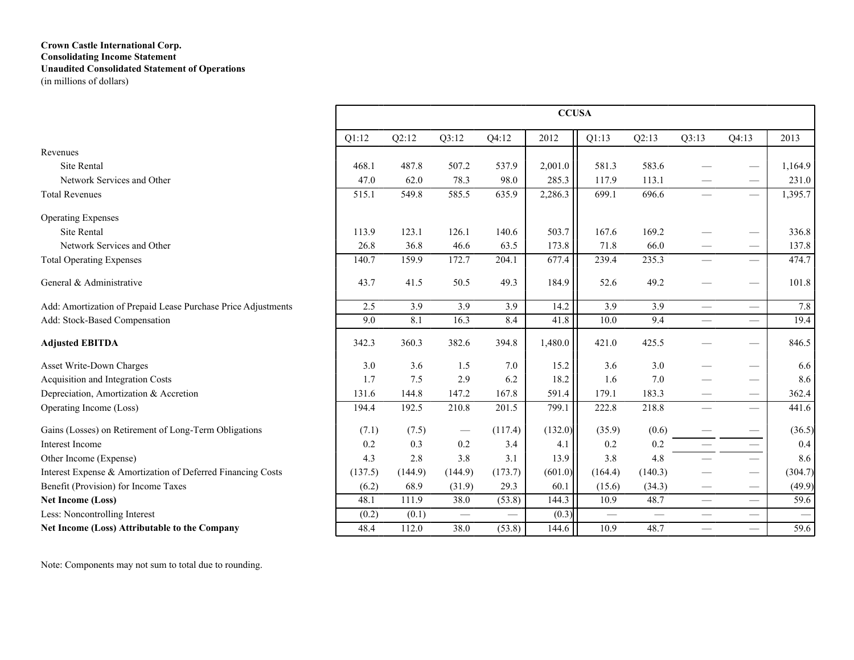### **Crown Castle International Corp. Consolidating Income Statement Unaudited Consolidated Statement of Operations** (in millions of dollars)

|                                                               |         |                  |                  |                  | <b>CCUSA</b> |                  |                  |                               |                                 |                               |
|---------------------------------------------------------------|---------|------------------|------------------|------------------|--------------|------------------|------------------|-------------------------------|---------------------------------|-------------------------------|
|                                                               | Q1:12   | Q2:12            | Q3:12            | Q4:12            | 2012         | Q1:13            | Q2:13            | Q3:13                         | Q4:13                           | 2013                          |
| Revenues                                                      |         |                  |                  |                  |              |                  |                  |                               |                                 |                               |
| <b>Site Rental</b>                                            | 468.1   | 487.8            | 507.2            | 537.9            | 2,001.0      | 581.3            | 583.6            |                               |                                 | 1,164.9                       |
| Network Services and Other                                    | 47.0    | 62.0             | 78.3             | 98.0             | 285.3        | 117.9            | 113.1            |                               |                                 | 231.0                         |
| <b>Total Revenues</b>                                         | 515.1   | 549.8            | 585.5            | 635.9            | 2,286.3      | 699.1            | 696.6            |                               |                                 | 1,395.7                       |
| <b>Operating Expenses</b>                                     |         |                  |                  |                  |              |                  |                  |                               |                                 |                               |
| Site Rental                                                   | 113.9   | 123.1            | 126.1            | 140.6            | 503.7        | 167.6            | 169.2            |                               |                                 | 336.8                         |
| Network Services and Other                                    | 26.8    | 36.8             | 46.6             | 63.5             | 173.8        | 71.8             | 66.0             |                               |                                 | 137.8                         |
| <b>Total Operating Expenses</b>                               | 140.7   | 159.9            | 172.7            | 204.1            | 677.4        | 239.4            | 235.3            |                               |                                 | 474.7                         |
| General & Administrative                                      | 43.7    | 41.5             | 50.5             | 49.3             | 184.9        | 52.6             | 49.2             |                               |                                 | 101.8                         |
| Add: Amortization of Prepaid Lease Purchase Price Adjustments | 2.5     | $\overline{3.9}$ | $\overline{3.9}$ | $\overline{3.9}$ | 14.2         | $\overline{3.9}$ | $\overline{3.9}$ | $\overline{\phantom{0}}$      | $\overline{\phantom{0}}$        | 7.8                           |
| Add: Stock-Based Compensation                                 | 9.0     | 8.1              | 16.3             | 8.4              | 41.8         | 10.0             | 9.4              | $\overbrace{\phantom{12333}}$ | $\overline{\phantom{0}}$        | 19.4                          |
| <b>Adjusted EBITDA</b>                                        | 342.3   | 360.3            | 382.6            | 394.8            | 1,480.0      | 421.0            | 425.5            |                               |                                 | 846.5                         |
| Asset Write-Down Charges                                      | 3.0     | 3.6              | 1.5              | 7.0              | 15.2         | 3.6              | 3.0              |                               | $\hspace{0.05cm}$               | 6.6                           |
| Acquisition and Integration Costs                             | 1.7     | 7.5              | 2.9              | 6.2              | 18.2         | 1.6              | $7.0\,$          |                               | $\hspace{0.05cm}$               | 8.6                           |
| Depreciation, Amortization & Accretion                        | 131.6   | 144.8            | 147.2            | 167.8            | 591.4        | 179.1            | 183.3            |                               |                                 | 362.4                         |
| Operating Income (Loss)                                       | 194.4   | 192.5            | 210.8            | 201.5            | 799.1        | 222.8            | 218.8            |                               |                                 | 441.6                         |
| Gains (Losses) on Retirement of Long-Term Obligations         | (7.1)   | (7.5)            |                  | (117.4)          | (132.0)      | (35.9)           | (0.6)            |                               | $\hspace{0.1mm}-\hspace{0.1mm}$ | (36.5)                        |
| Interest Income                                               | 0.2     | 0.3              | 0.2              | 3.4              | 4.1          | 0.2              | 0.2              | $\equiv$                      |                                 | 0.4                           |
| Other Income (Expense)                                        | 4.3     | 2.8              | 3.8              | 3.1              | 13.9         | 3.8              | 4.8              |                               |                                 | 8.6                           |
| Interest Expense & Amortization of Deferred Financing Costs   | (137.5) | (144.9)          | (144.9)          | (173.7)          | (601.0)      | (164.4)          | (140.3)          |                               | $\hspace{0.05cm}$               | (304.7)                       |
| Benefit (Provision) for Income Taxes                          | (6.2)   | 68.9             | (31.9)           | 29.3             | 60.1         | (15.6)           | (34.3)           | $\hspace{0.05cm}$             |                                 | (49.9)                        |
| Net Income (Loss)                                             | 48.1    | 111.9            | 38.0             | (53.8)           | 144.3        | 10.9             | 48.7             | $\overbrace{\phantom{12333}}$ | $\equiv$                        | 59.6                          |
| Less: Noncontrolling Interest                                 | (0.2)   | (0.1)            |                  |                  | (0.3)        |                  | $\qquad \qquad$  |                               | $\overline{\phantom{0}}$        | $\overbrace{\phantom{13333}}$ |
| Net Income (Loss) Attributable to the Company                 | 48.4    | 112.0            | 38.0             | (53.8)           | 144.6        | 10.9             | 48.7             | $\qquad \qquad$               |                                 | 59.6                          |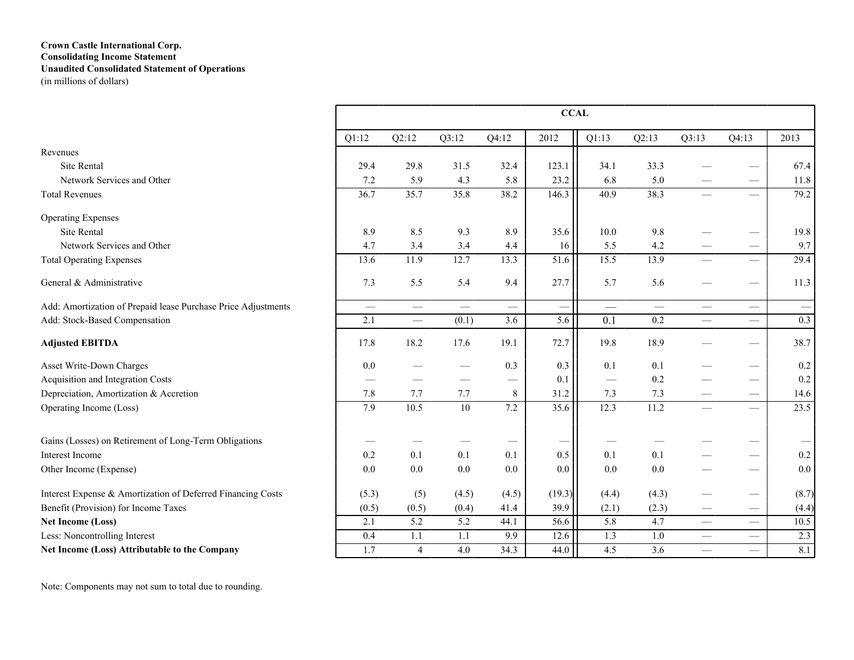### **Crown Castle International Corp. Consolidating Income Statement Unaudited Consolidated Statement of Operations** (in millions of dollars)

|                                                               |          |                          |                 |                               | <b>CCAL</b> |                          |       |                               |                                 |                               |
|---------------------------------------------------------------|----------|--------------------------|-----------------|-------------------------------|-------------|--------------------------|-------|-------------------------------|---------------------------------|-------------------------------|
|                                                               | Q1:12    | Q2:12                    | Q3:12           | Q4:12                         | 2012        | Q1:13                    | Q2:13 | Q3:13                         | Q4:13                           | 2013                          |
| Revenues                                                      |          |                          |                 |                               |             |                          |       |                               |                                 |                               |
| <b>Site Rental</b>                                            | 29.4     | 29.8                     | 31.5            | 32.4                          | 123.1       | 34.1                     | 33.3  |                               |                                 | 67.4                          |
| Network Services and Other                                    | 7.2      | 5.9                      | 4.3             | 5.8                           | 23.2        | 6.8                      | 5.0   |                               | $\hspace{0.1mm}-\hspace{0.1mm}$ | 11.8                          |
| <b>Total Revenues</b>                                         | 36.7     | 35.7                     | 35.8            | 38.2                          | 146.3       | 40.9                     | 38.3  | $\equiv$                      | $\equiv$                        | 79.2                          |
| <b>Operating Expenses</b>                                     |          |                          |                 |                               |             |                          |       |                               |                                 |                               |
| Site Rental                                                   | 8.9      | 8.5                      | 9.3             | 8.9                           | 35.6        | 10.0                     | 9.8   |                               | $\hspace{0.05cm}$               | 19.8                          |
| Network Services and Other                                    | 4.7      | 3.4                      | 3.4             | 4.4                           | 16          | 5.5                      | 4.2   |                               | $\overbrace{\qquad \qquad }^{}$ | 9.7                           |
| <b>Total Operating Expenses</b>                               | 13.6     | 11.9                     | 12.7            | 13.3                          | 51.6        | 15.5                     | 13.9  |                               | $\overline{\phantom{0}}$        | 29.4                          |
| General & Administrative                                      | 7.3      | 5.5                      | 5.4             | 9.4                           | 27.7        | 5.7                      | 5.6   |                               |                                 | 11.3                          |
| Add: Amortization of Prepaid lease Purchase Price Adjustments | $\equiv$ | $\equiv$                 |                 | $\qquad \qquad$               |             | $\overline{\phantom{m}}$ |       |                               |                                 | $\overbrace{\phantom{12333}}$ |
| Add: Stock-Based Compensation                                 | 2.1      | $\overline{\phantom{m}}$ | (0.1)           | 3.6                           | 5.6         | 0.1                      | 0.2   |                               |                                 | 0.3                           |
| <b>Adjusted EBITDA</b>                                        | 17.8     | 18.2                     | 17.6            | 19.1                          | 72.7        | 19.8                     | 18.9  |                               |                                 | 38.7                          |
| Asset Write-Down Charges                                      | 0.0      |                          |                 | 0.3                           | 0.3         | 0.1                      | 0.1   |                               | $\overbrace{\qquad \qquad }^{}$ | 0.2                           |
| Acquisition and Integration Costs                             |          |                          |                 | $\overbrace{\phantom{13333}}$ | 0.1         | $\equiv$                 | 0.2   |                               | $\overbrace{\qquad \qquad }^{}$ | 0.2                           |
| Depreciation, Amortization & Accretion                        | 7.8      | 7.7                      | 7.7             | 8                             | 31.2        | 7.3                      | 7.3   |                               | $\overline{\phantom{m}}$        | 14.6                          |
| Operating Income (Loss)                                       | 7.9      | 10.5                     | $\overline{10}$ | 7.2                           | 35.6        | 12.3                     | 11.2  |                               |                                 | 23.5                          |
| Gains (Losses) on Retirement of Long-Term Obligations         |          |                          |                 |                               |             |                          |       |                               |                                 |                               |
| Interest Income                                               | 0.2      | 0.1                      | 0.1             | 0.1                           | 0.5         | 0.1                      | 0.1   |                               | $\overbrace{\phantom{13333}}$   | 0.2                           |
| Other Income (Expense)                                        | 0.0      | 0.0                      | 0.0             | 0.0                           | $0.0\,$     | 0.0                      | 0.0   |                               |                                 | 0.0                           |
| Interest Expense & Amortization of Deferred Financing Costs   | (5.3)    | (5)                      | (4.5)           | (4.5)                         | (19.3)      | (4.4)                    | (4.3) |                               |                                 | (8.7)                         |
| Benefit (Provision) for Income Taxes                          | (0.5)    | (0.5)                    | (0.4)           | 41.4                          | 39.9        | (2.1)                    | (2.3) | $\overbrace{\phantom{13333}}$ | $\overline{\phantom{m}}$        | (4.4)                         |
| <b>Net Income (Loss)</b>                                      | 2.1      | 5.2                      | 5.2             | 44.1                          | 56.6        | 5.8                      | 4.7   | $\qquad \qquad$               | $\overbrace{\qquad \qquad }^{}$ | 10.5                          |
| Less: Noncontrolling Interest                                 | 0.4      | 1.1                      | 1.1             | 9.9                           | 12.6        | 1.3                      | $1.0$ |                               |                                 | 2.3                           |
| Net Income (Loss) Attributable to the Company                 | 1.7      | $\overline{4}$           | 4.0             | 34.3                          | 44.0        | 4.5                      | 3.6   | $\overline{\phantom{0}}$      | $\equiv$                        | 8.1                           |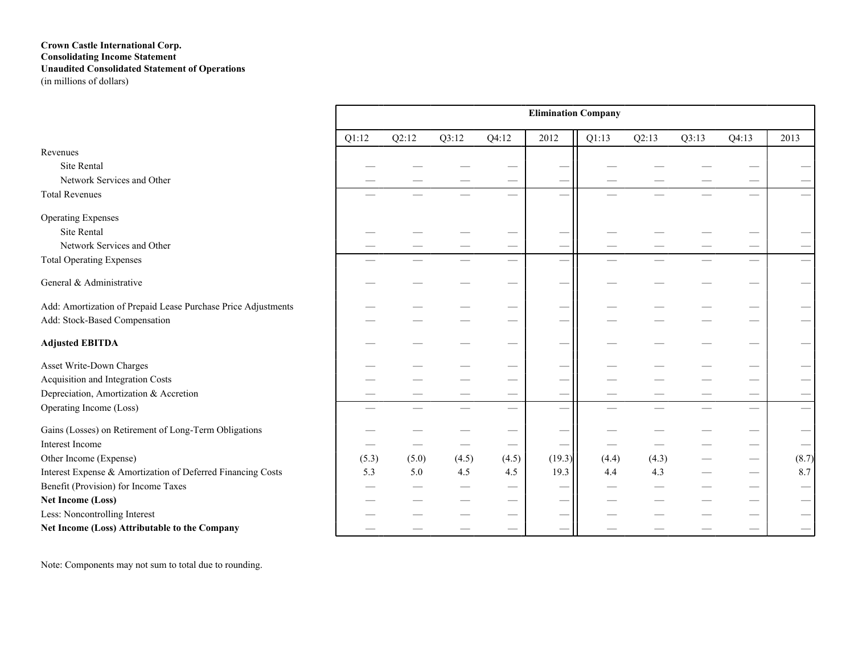### **Crown Castle International Corp. Consolidating Income Statement Unaudited Consolidated Statement of Operations** (in millions of dollars)

|                                                               |       |       |       |       | <b>Elimination Company</b> |       |       |       |                          |                                 |
|---------------------------------------------------------------|-------|-------|-------|-------|----------------------------|-------|-------|-------|--------------------------|---------------------------------|
|                                                               | Q1:12 | Q2:12 | Q3:12 | Q4:12 | 2012                       | Q1:13 | Q2:13 | Q3:13 | Q4:13                    | 2013                            |
| Revenues                                                      |       |       |       |       |                            |       |       |       |                          |                                 |
| Site Rental                                                   |       |       |       |       |                            |       |       |       |                          |                                 |
| Network Services and Other                                    |       |       |       |       |                            |       |       |       |                          |                                 |
| <b>Total Revenues</b>                                         |       |       |       |       |                            |       |       |       |                          |                                 |
| <b>Operating Expenses</b>                                     |       |       |       |       |                            |       |       |       |                          |                                 |
| Site Rental                                                   |       |       |       |       |                            |       |       |       |                          |                                 |
| Network Services and Other                                    |       |       |       |       | -                          |       |       |       |                          |                                 |
| <b>Total Operating Expenses</b>                               |       |       |       |       | $\overline{\phantom{0}}$   |       |       |       | $\overline{\phantom{0}}$ |                                 |
| General & Administrative                                      |       |       |       |       | -                          |       |       |       |                          |                                 |
| Add: Amortization of Prepaid Lease Purchase Price Adjustments |       |       |       |       |                            |       |       |       |                          |                                 |
| Add: Stock-Based Compensation                                 |       |       |       |       |                            |       |       |       |                          |                                 |
| <b>Adjusted EBITDA</b>                                        |       |       |       |       |                            |       |       |       |                          |                                 |
| Asset Write-Down Charges                                      |       |       |       |       |                            |       |       |       |                          |                                 |
| Acquisition and Integration Costs                             |       |       |       |       |                            |       |       |       |                          |                                 |
| Depreciation, Amortization & Accretion                        |       |       |       |       |                            |       |       |       |                          | $\hspace{0.1mm}-\hspace{0.1mm}$ |
| Operating Income (Loss)                                       |       |       |       |       |                            |       |       |       |                          |                                 |
| Gains (Losses) on Retirement of Long-Term Obligations         |       |       |       |       |                            |       |       |       |                          |                                 |
| Interest Income                                               |       |       |       |       |                            |       |       |       |                          |                                 |
| Other Income (Expense)                                        | (5.3) | (5.0) | (4.5) | (4.5) | (19.3)                     | (4.4) | (4.3) |       |                          | (8.7)                           |
| Interest Expense & Amortization of Deferred Financing Costs   | 5.3   | 5.0   | 4.5   | 4.5   | 19.3                       | 4.4   | 4.3   |       |                          | 8.7                             |
| Benefit (Provision) for Income Taxes                          |       |       |       |       | -                          |       |       |       |                          | $\hspace{0.1mm}-\hspace{0.1mm}$ |
| <b>Net Income (Loss)</b>                                      |       |       |       |       | -                          |       |       |       |                          |                                 |
| Less: Noncontrolling Interest                                 |       |       |       |       |                            |       |       |       |                          |                                 |
| Net Income (Loss) Attributable to the Company                 |       |       |       |       |                            |       |       |       |                          |                                 |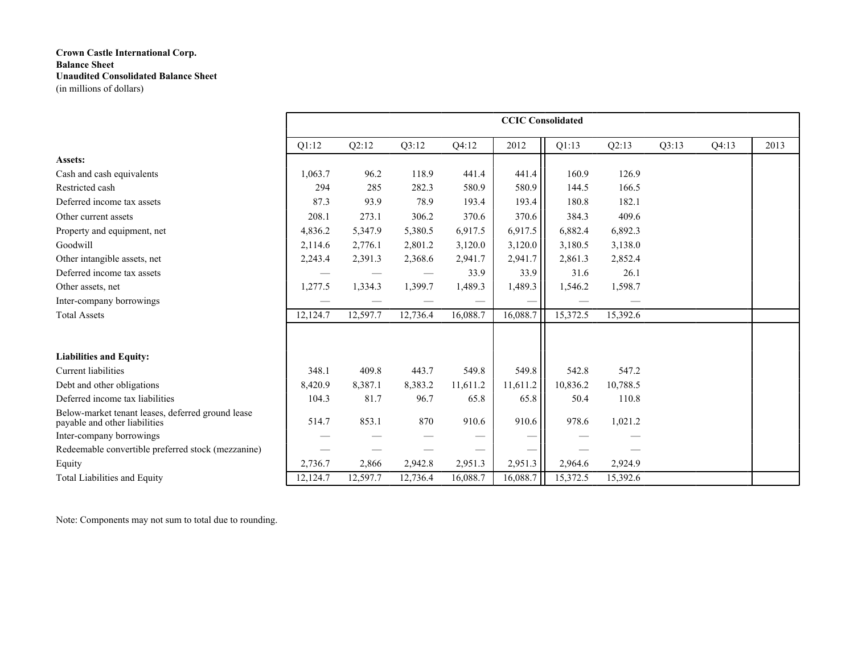|                                                                                    |          |          |          |          | <b>CCIC Consolidated</b> |          |          |       |       |      |
|------------------------------------------------------------------------------------|----------|----------|----------|----------|--------------------------|----------|----------|-------|-------|------|
|                                                                                    | Q1:12    | Q2:12    | Q3:12    | Q4:12    | 2012                     | Q1:13    | Q2:13    | Q3:13 | Q4:13 | 2013 |
| Assets:                                                                            |          |          |          |          |                          |          |          |       |       |      |
| Cash and cash equivalents                                                          | 1,063.7  | 96.2     | 118.9    | 441.4    | 441.4                    | 160.9    | 126.9    |       |       |      |
| Restricted cash                                                                    | 294      | 285      | 282.3    | 580.9    | 580.9                    | 144.5    | 166.5    |       |       |      |
| Deferred income tax assets                                                         | 87.3     | 93.9     | 78.9     | 193.4    | 193.4                    | 180.8    | 182.1    |       |       |      |
| Other current assets                                                               | 208.1    | 273.1    | 306.2    | 370.6    | 370.6                    | 384.3    | 409.6    |       |       |      |
| Property and equipment, net                                                        | 4,836.2  | 5,347.9  | 5,380.5  | 6,917.5  | 6,917.5                  | 6,882.4  | 6,892.3  |       |       |      |
| Goodwill                                                                           | 2,114.6  | 2,776.1  | 2,801.2  | 3,120.0  | 3,120.0                  | 3,180.5  | 3,138.0  |       |       |      |
| Other intangible assets, net                                                       | 2,243.4  | 2,391.3  | 2,368.6  | 2,941.7  | 2,941.7                  | 2,861.3  | 2,852.4  |       |       |      |
| Deferred income tax assets                                                         |          |          |          | 33.9     | 33.9                     | 31.6     | 26.1     |       |       |      |
| Other assets, net                                                                  | 1,277.5  | 1,334.3  | 1,399.7  | 1,489.3  | 1,489.3                  | 1,546.2  | 1,598.7  |       |       |      |
| Inter-company borrowings                                                           |          |          |          |          |                          |          |          |       |       |      |
| <b>Total Assets</b>                                                                | 12,124.7 | 12,597.7 | 12,736.4 | 16,088.7 | 16,088.7                 | 15,372.5 | 15,392.6 |       |       |      |
|                                                                                    |          |          |          |          |                          |          |          |       |       |      |
| <b>Liabilities and Equity:</b>                                                     |          |          |          |          |                          |          |          |       |       |      |
| <b>Current liabilities</b>                                                         | 348.1    | 409.8    | 443.7    | 549.8    | 549.8                    | 542.8    | 547.2    |       |       |      |
| Debt and other obligations                                                         | 8,420.9  | 8,387.1  | 8,383.2  | 11,611.2 | 11,611.2                 | 10,836.2 | 10,788.5 |       |       |      |
| Deferred income tax liabilities                                                    | 104.3    | 81.7     | 96.7     | 65.8     | 65.8                     | 50.4     | 110.8    |       |       |      |
| Below-market tenant leases, deferred ground lease<br>payable and other liabilities | 514.7    | 853.1    | 870      | 910.6    | 910.6                    | 978.6    | 1,021.2  |       |       |      |
| Inter-company borrowings                                                           |          |          |          |          |                          |          |          |       |       |      |
| Redeemable convertible preferred stock (mezzanine)                                 |          |          |          |          |                          |          |          |       |       |      |
| Equity                                                                             | 2,736.7  | 2,866    | 2,942.8  | 2,951.3  | 2,951.3                  | 2,964.6  | 2,924.9  |       |       |      |
| <b>Total Liabilities and Equity</b>                                                | 12,124.7 | 12,597.7 | 12,736.4 | 16,088.7 | 16,088.7                 | 15,372.5 | 15,392.6 |       |       |      |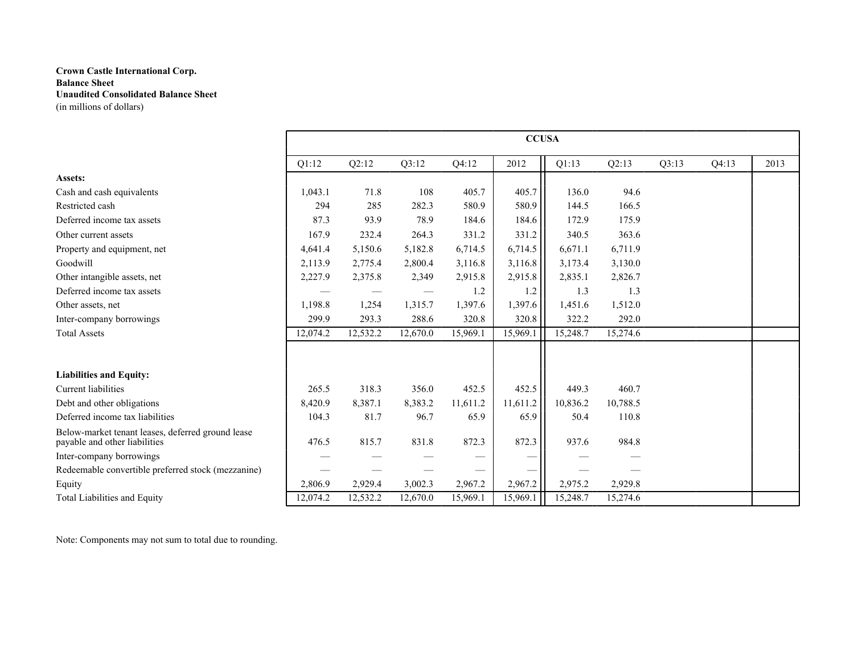|                                                                                    |          |          |                 |          | <b>CCUSA</b> |          |          |       |       |      |
|------------------------------------------------------------------------------------|----------|----------|-----------------|----------|--------------|----------|----------|-------|-------|------|
|                                                                                    | Q1:12    | Q2:12    | Q3:12           | Q4:12    | 2012         | Q1:13    | Q2:13    | Q3:13 | Q4:13 | 2013 |
| Assets:                                                                            |          |          |                 |          |              |          |          |       |       |      |
| Cash and cash equivalents                                                          | 1,043.1  | 71.8     | 108             | 405.7    | 405.7        | 136.0    | 94.6     |       |       |      |
| Restricted cash                                                                    | 294      | 285      | 282.3           | 580.9    | 580.9        | 144.5    | 166.5    |       |       |      |
| Deferred income tax assets                                                         | 87.3     | 93.9     | 78.9            | 184.6    | 184.6        | 172.9    | 175.9    |       |       |      |
| Other current assets                                                               | 167.9    | 232.4    | 264.3           | 331.2    | 331.2        | 340.5    | 363.6    |       |       |      |
| Property and equipment, net                                                        | 4,641.4  | 5,150.6  | 5,182.8         | 6,714.5  | 6,714.5      | 6,671.1  | 6,711.9  |       |       |      |
| Goodwill                                                                           | 2,113.9  | 2,775.4  | 2,800.4         | 3,116.8  | 3,116.8      | 3,173.4  | 3,130.0  |       |       |      |
| Other intangible assets, net                                                       | 2,227.9  | 2,375.8  | 2,349           | 2,915.8  | 2,915.8      | 2,835.1  | 2,826.7  |       |       |      |
| Deferred income tax assets                                                         |          |          | $\qquad \qquad$ | 1.2      | 1.2          | 1.3      | 1.3      |       |       |      |
| Other assets, net                                                                  | 1,198.8  | 1,254    | 1,315.7         | 1,397.6  | 1,397.6      | 1,451.6  | 1,512.0  |       |       |      |
| Inter-company borrowings                                                           | 299.9    | 293.3    | 288.6           | 320.8    | 320.8        | 322.2    | 292.0    |       |       |      |
| <b>Total Assets</b>                                                                | 12,074.2 | 12,532.2 | 12,670.0        | 15,969.1 | 15,969.1     | 15,248.7 | 15,274.6 |       |       |      |
|                                                                                    |          |          |                 |          |              |          |          |       |       |      |
| <b>Liabilities and Equity:</b>                                                     |          |          |                 |          |              |          |          |       |       |      |
| Current liabilities                                                                | 265.5    | 318.3    | 356.0           | 452.5    | 452.5        | 449.3    | 460.7    |       |       |      |
| Debt and other obligations                                                         | 8,420.9  | 8,387.1  | 8,383.2         | 11,611.2 | 11,611.2     | 10,836.2 | 10,788.5 |       |       |      |
| Deferred income tax liabilities                                                    | 104.3    | 81.7     | 96.7            | 65.9     | 65.9         | 50.4     | 110.8    |       |       |      |
| Below-market tenant leases, deferred ground lease<br>payable and other liabilities | 476.5    | 815.7    | 831.8           | 872.3    | 872.3        | 937.6    | 984.8    |       |       |      |
| Inter-company borrowings                                                           |          |          |                 |          |              |          |          |       |       |      |
| Redeemable convertible preferred stock (mezzanine)                                 |          |          |                 |          |              |          |          |       |       |      |
| Equity                                                                             | 2,806.9  | 2,929.4  | 3,002.3         | 2,967.2  | 2,967.2      | 2,975.2  | 2,929.8  |       |       |      |
| <b>Total Liabilities and Equity</b>                                                | 12,074.2 | 12,532.2 | 12,670.0        | 15,969.1 | 15,969.1     | 15,248.7 | 15,274.6 |       |       |      |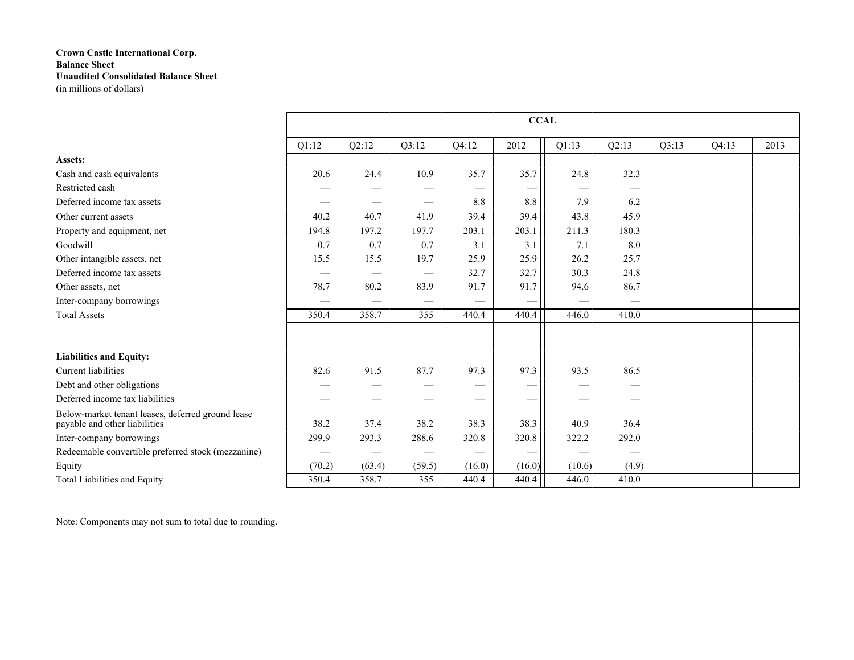|                                                                                    |        |        |                                 |                   | <b>CCAL</b>     |        |       |       |       |      |
|------------------------------------------------------------------------------------|--------|--------|---------------------------------|-------------------|-----------------|--------|-------|-------|-------|------|
|                                                                                    | Q1:12  | Q2:12  | Q3:12                           | Q4:12             | 2012            | Q1:13  | Q2:13 | Q3:13 | Q4:13 | 2013 |
| Assets:                                                                            |        |        |                                 |                   |                 |        |       |       |       |      |
| Cash and cash equivalents                                                          | 20.6   | 24.4   | 10.9                            | 35.7              | 35.7            | 24.8   | 32.3  |       |       |      |
| Restricted cash                                                                    |        |        |                                 |                   |                 |        |       |       |       |      |
| Deferred income tax assets                                                         |        |        | $\hspace{0.05cm}$               | 8.8               | 8.8             | 7.9    | 6.2   |       |       |      |
| Other current assets                                                               | 40.2   | 40.7   | 41.9                            | 39.4              | 39.4            | 43.8   | 45.9  |       |       |      |
| Property and equipment, net                                                        | 194.8  | 197.2  | 197.7                           | 203.1             | 203.1           | 211.3  | 180.3 |       |       |      |
| Goodwill                                                                           | 0.7    | 0.7    | 0.7                             | 3.1               | 3.1             | 7.1    | 8.0   |       |       |      |
| Other intangible assets, net                                                       | 15.5   | 15.5   | 19.7                            | 25.9              | 25.9            | 26.2   | 25.7  |       |       |      |
| Deferred income tax assets                                                         |        |        | $\hspace{0.1mm}-\hspace{0.1mm}$ | 32.7              | 32.7            | 30.3   | 24.8  |       |       |      |
| Other assets, net                                                                  | 78.7   | 80.2   | 83.9                            | 91.7              | 91.7            | 94.6   | 86.7  |       |       |      |
| Inter-company borrowings                                                           |        |        |                                 |                   |                 |        |       |       |       |      |
| <b>Total Assets</b>                                                                | 350.4  | 358.7  | 355                             | 440.4             | 440.4           | 446.0  | 410.0 |       |       |      |
|                                                                                    |        |        |                                 |                   |                 |        |       |       |       |      |
| <b>Liabilities and Equity:</b>                                                     |        |        |                                 |                   |                 |        |       |       |       |      |
| <b>Current liabilities</b>                                                         | 82.6   | 91.5   | 87.7                            | 97.3              | 97.3            | 93.5   | 86.5  |       |       |      |
| Debt and other obligations                                                         |        |        |                                 |                   |                 |        |       |       |       |      |
| Deferred income tax liabilities                                                    |        |        |                                 |                   | –               |        |       |       |       |      |
| Below-market tenant leases, deferred ground lease<br>payable and other liabilities | 38.2   | 37.4   | 38.2                            | 38.3              | 38.3            | 40.9   | 36.4  |       |       |      |
| Inter-company borrowings                                                           | 299.9  | 293.3  | 288.6                           | 320.8             | 320.8           | 322.2  | 292.0 |       |       |      |
| Redeemable convertible preferred stock (mezzanine)                                 |        |        |                                 | $\hspace{0.05cm}$ | $\qquad \qquad$ |        |       |       |       |      |
| Equity                                                                             | (70.2) | (63.4) | (59.5)                          | (16.0)            | (16.0)          | (10.6) | (4.9) |       |       |      |
| Total Liabilities and Equity                                                       | 350.4  | 358.7  | 355                             | 440.4             | 440.4           | 446.0  | 410.0 |       |       |      |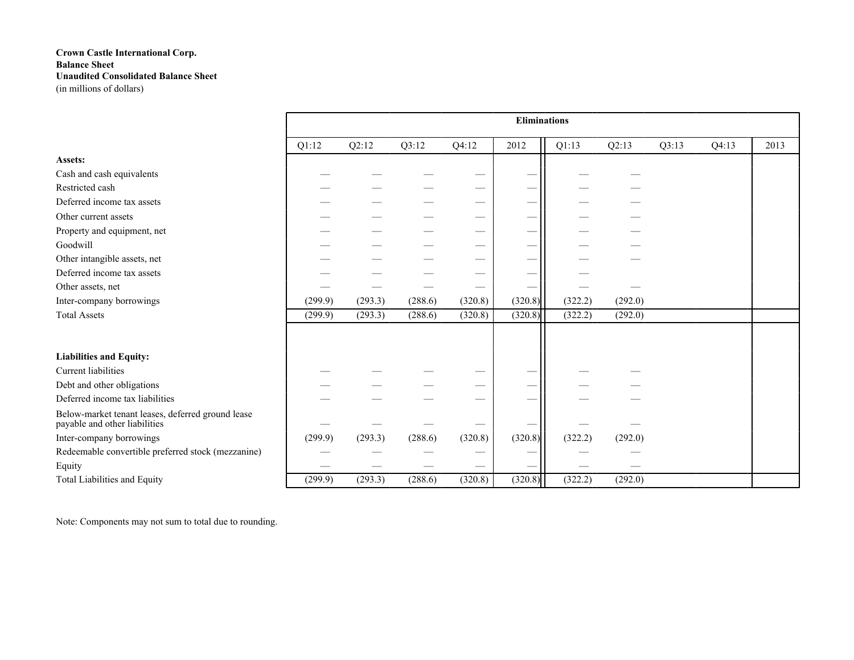|                                                                                    |         |         |         |         | <b>Eliminations</b> |         |         |       |       |      |
|------------------------------------------------------------------------------------|---------|---------|---------|---------|---------------------|---------|---------|-------|-------|------|
|                                                                                    | Q1:12   | Q2:12   | Q3:12   | Q4:12   | 2012                | Q1:13   | Q2:13   | Q3:13 | Q4:13 | 2013 |
| Assets:                                                                            |         |         |         |         |                     |         |         |       |       |      |
| Cash and cash equivalents                                                          |         |         |         |         |                     |         |         |       |       |      |
| Restricted cash                                                                    |         |         |         |         |                     |         |         |       |       |      |
| Deferred income tax assets                                                         |         |         |         |         |                     |         |         |       |       |      |
| Other current assets                                                               |         |         |         |         |                     |         |         |       |       |      |
| Property and equipment, net                                                        |         |         |         |         |                     |         |         |       |       |      |
| Goodwill                                                                           |         |         |         |         |                     |         |         |       |       |      |
| Other intangible assets, net                                                       |         |         |         |         | -                   |         |         |       |       |      |
| Deferred income tax assets                                                         |         |         |         |         |                     |         |         |       |       |      |
| Other assets, net                                                                  |         |         |         |         |                     |         |         |       |       |      |
| Inter-company borrowings                                                           | (299.9) | (293.3) | (288.6) | (320.8) | (320.8)             | (322.2) | (292.0) |       |       |      |
| <b>Total Assets</b>                                                                | (299.9) | (293.3) | (288.6) | (320.8) | (320.8)             | (322.2) | (292.0) |       |       |      |
|                                                                                    |         |         |         |         |                     |         |         |       |       |      |
| <b>Liabilities and Equity:</b>                                                     |         |         |         |         |                     |         |         |       |       |      |
| <b>Current</b> liabilities                                                         |         |         |         |         |                     |         |         |       |       |      |
| Debt and other obligations                                                         |         |         |         |         |                     |         |         |       |       |      |
| Deferred income tax liabilities                                                    |         |         |         |         | _                   |         |         |       |       |      |
| Below-market tenant leases, deferred ground lease<br>payable and other liabilities |         |         |         |         |                     |         |         |       |       |      |
| Inter-company borrowings                                                           | (299.9) | (293.3) | (288.6) | (320.8) | (320.8)             | (322.2) | (292.0) |       |       |      |
| Redeemable convertible preferred stock (mezzanine)                                 |         |         |         |         |                     |         |         |       |       |      |
| Equity                                                                             |         |         |         |         |                     |         |         |       |       |      |
| Total Liabilities and Equity                                                       | (299.9) | (293.3) | (288.6) | (320.8) | (320.8)             | (322.2) | (292.0) |       |       |      |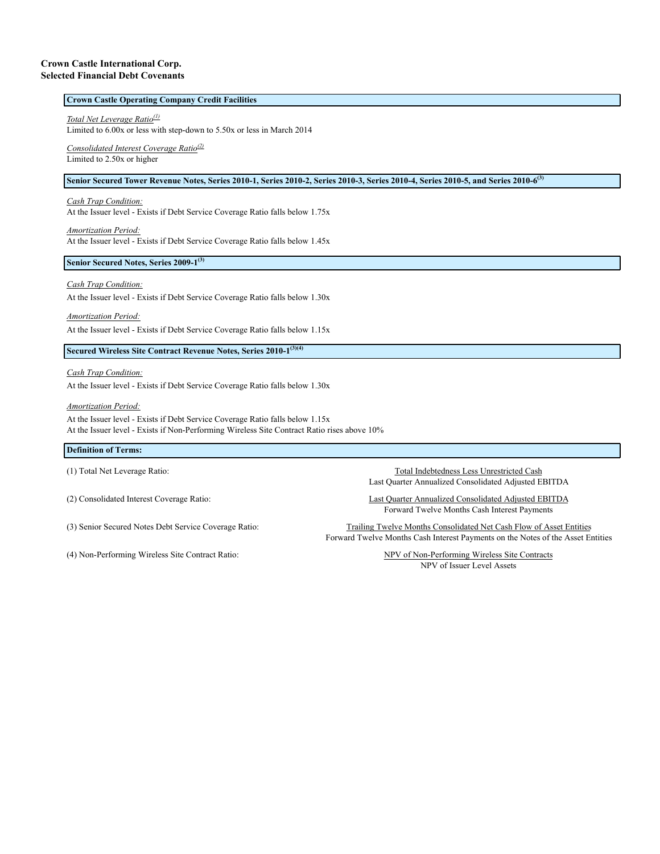#### **Crown Castle International Corp. Selected Financial Debt Covenants**

### **Crown Castle Operating Company Credit Facilities**

*Total Net Leverage Ratio(1)*

Limited to 6.00x or less with step-down to 5.50x or less in March 2014

*Consolidated Interest Coverage Ratio(2)* Limited to 2.50x or higher

#### **Senior Secured Tower Revenue Notes, Series 2010-1, Series 2010-2, Series 2010-3, Series 2010-4, Series 2010-5, and Series 2010-6(3)**

*Cash Trap Condition:*

At the Issuer level - Exists if Debt Service Coverage Ratio falls below 1.75x

*Amortization Period:* At the Issuer level - Exists if Debt Service Coverage Ratio falls below 1.45x

#### **Senior Secured Notes, Series 2009-1(3)**

#### *Cash Trap Condition:*

At the Issuer level - Exists if Debt Service Coverage Ratio falls below 1.30x

*Amortization Period:*

At the Issuer level - Exists if Debt Service Coverage Ratio falls below 1.15x

**Secured Wireless Site Contract Revenue Notes, Series 2010-1(3)(4)**

*Cash Trap Condition:*

At the Issuer level - Exists if Debt Service Coverage Ratio falls below 1.30x

*Amortization Period:*

At the Issuer level - Exists if Debt Service Coverage Ratio falls below 1.15x At the Issuer level - Exists if Non-Performing Wireless Site Contract Ratio rises above 10%

#### **Definition of Terms:**

(4) Non-Performing Wireless Site Contract Ratio: NPV of Non-Performing Wireless Site Contracts

(1) Total Net Leverage Ratio: Total Indebtedness Less Unrestricted Cash Last Quarter Annualized Consolidated Adjusted EBITDA

(2) Consolidated Interest Coverage Ratio: Last Quarter Annualized Consolidated Adjusted EBITDA Forward Twelve Months Cash Interest Payments

(3) Senior Secured Notes Debt Service Coverage Ratio: Trailing Twelve Months Consolidated Net Cash Flow of Asset Entities Forward Twelve Months Cash Interest Payments on the Notes of the Asset Entities

NPV of Issuer Level Assets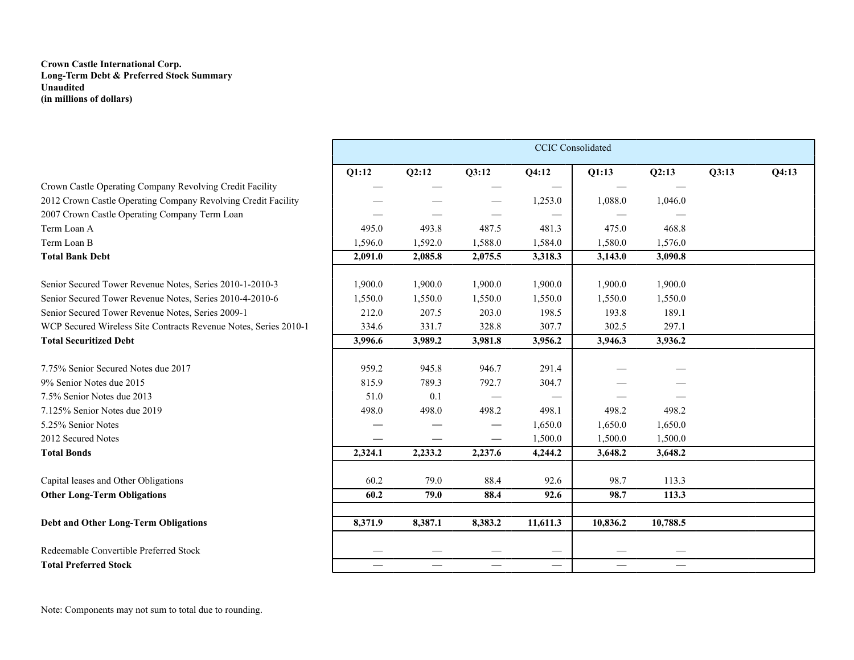### **Crown Castle International Corp. Long-Term Debt & Preferred Stock Summary Unaudited (in millions of dollars)**

|                                                                  |         |         |                          | <b>CCIC</b> Consolidated        |          |                                   |       |       |
|------------------------------------------------------------------|---------|---------|--------------------------|---------------------------------|----------|-----------------------------------|-------|-------|
|                                                                  | Q1:12   | Q2:12   | Q3:12                    | Q4:12                           | Q1:13    | Q2:13                             | O3:13 | Q4:13 |
| Crown Castle Operating Company Revolving Credit Facility         |         |         |                          |                                 |          |                                   |       |       |
| 2012 Crown Castle Operating Company Revolving Credit Facility    |         |         |                          | 1,253.0                         | 1,088.0  | 1,046.0                           |       |       |
| 2007 Crown Castle Operating Company Term Loan                    |         |         |                          |                                 |          |                                   |       |       |
| Term Loan A                                                      | 495.0   | 493.8   | 487.5                    | 481.3                           | 475.0    | 468.8                             |       |       |
| Term Loan B                                                      | 1,596.0 | 1,592.0 | 1,588.0                  | 1,584.0                         | 1,580.0  | 1,576.0                           |       |       |
| <b>Total Bank Debt</b>                                           | 2,091.0 | 2,085.8 | 2,075.5                  | 3,318.3                         | 3,143.0  | 3,090.8                           |       |       |
| Senior Secured Tower Revenue Notes, Series 2010-1-2010-3         | 1,900.0 | 1,900.0 | 1,900.0                  | 1,900.0                         | 1,900.0  | 1,900.0                           |       |       |
| Senior Secured Tower Revenue Notes, Series 2010-4-2010-6         | 1,550.0 | 1,550.0 | 1,550.0                  | 1,550.0                         | 1,550.0  | 1,550.0                           |       |       |
| Senior Secured Tower Revenue Notes, Series 2009-1                | 212.0   | 207.5   | 203.0                    | 198.5                           | 193.8    | 189.1                             |       |       |
| WCP Secured Wireless Site Contracts Revenue Notes, Series 2010-1 | 334.6   | 331.7   | 328.8                    | 307.7                           | 302.5    | 297.1                             |       |       |
| <b>Total Securitized Debt</b>                                    | 3,996.6 | 3,989.2 | 3,981.8                  | 3,956.2                         | 3,946.3  | 3,936.2                           |       |       |
| 7.75% Senior Secured Notes due 2017                              | 959.2   | 945.8   | 946.7                    | 291.4                           |          |                                   |       |       |
| 9% Senior Notes due 2015                                         | 815.9   | 789.3   | 792.7                    | 304.7                           |          |                                   |       |       |
| 7.5% Senior Notes due 2013                                       | 51.0    | 0.1     |                          | $\hspace{0.1mm}-\hspace{0.1mm}$ |          |                                   |       |       |
| 7.125% Senior Notes due 2019                                     | 498.0   | 498.0   | 498.2                    | 498.1                           | 498.2    | 498.2                             |       |       |
| 5.25% Senior Notes                                               |         |         |                          | 1,650.0                         | 1,650.0  | 1,650.0                           |       |       |
| 2012 Secured Notes                                               |         |         |                          | 1,500.0                         | 1,500.0  | 1,500.0                           |       |       |
| <b>Total Bonds</b>                                               | 2,324.1 | 2,233.2 | 2,237.6                  | 4,244.2                         | 3,648.2  | 3,648.2                           |       |       |
| Capital leases and Other Obligations                             | 60.2    | 79.0    | 88.4                     | 92.6                            | 98.7     | 113.3                             |       |       |
| <b>Other Long-Term Obligations</b>                               | 60.2    | 79.0    | 88.4                     | 92.6                            | 98.7     | 113.3                             |       |       |
|                                                                  |         |         |                          |                                 |          |                                   |       |       |
| <b>Debt and Other Long-Term Obligations</b>                      | 8,371.9 | 8,387.1 | 8,383.2                  | 11,611.3                        | 10,836.2 | 10,788.5                          |       |       |
| Redeemable Convertible Preferred Stock                           |         |         |                          |                                 |          |                                   |       |       |
| <b>Total Preferred Stock</b>                                     |         |         | $\overline{\phantom{0}}$ | $\overbrace{\phantom{13333}}$   |          | $\overbrace{\phantom{123221111}}$ |       |       |
|                                                                  |         |         |                          |                                 |          |                                   |       |       |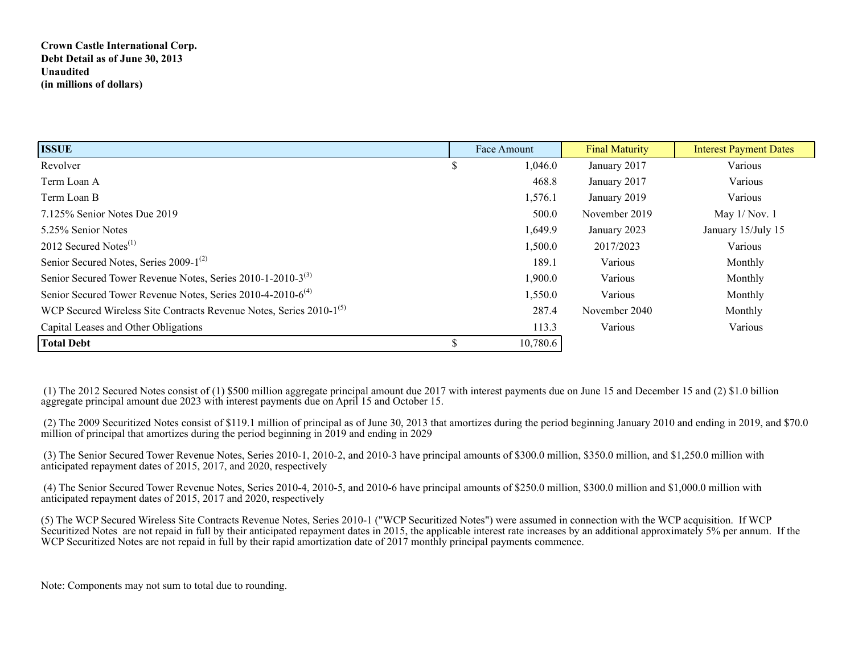## **Crown Castle International Corp. Debt Detail as of June 30, 2013 Unaudited (in millions of dollars)**

| <b>ISSUE</b>                                                                    |    | Face Amount | <b>Final Maturity</b> | <b>Interest Payment Dates</b> |
|---------------------------------------------------------------------------------|----|-------------|-----------------------|-------------------------------|
| Revolver                                                                        |    | 1,046.0     | January 2017          | Various                       |
| Term Loan A                                                                     |    | 468.8       | January 2017          | Various                       |
| Term Loan B                                                                     |    | 1,576.1     | January 2019          | Various                       |
| 7.125% Senior Notes Due 2019                                                    |    | 500.0       | November 2019         | May $1/Nov. 1$                |
| 5.25% Senior Notes                                                              |    | 1,649.9     | January 2023          | January 15/July 15            |
| 2012 Secured Notes $^{(1)}$                                                     |    | 1,500.0     | 2017/2023             | Various                       |
| Senior Secured Notes, Series 2009-1 <sup>(2)</sup>                              |    | 189.1       | Various               | Monthly                       |
| Senior Secured Tower Revenue Notes, Series 2010-1-2010-3 <sup>(3)</sup>         |    | 1,900.0     | Various               | Monthly                       |
| Senior Secured Tower Revenue Notes, Series 2010-4-2010-6 <sup>(4)</sup>         |    | 1,550.0     | Various               | Monthly                       |
| WCP Secured Wireless Site Contracts Revenue Notes, Series 2010-1 <sup>(5)</sup> |    | 287.4       | November 2040         | Monthly                       |
| Capital Leases and Other Obligations                                            |    | 113.3       | Various               | Various                       |
| <b>Total Debt</b>                                                               | J. | 10,780.6    |                       |                               |

 (1) The 2012 Secured Notes consist of (1) \$500 million aggregate principal amount due 2017 with interest payments due on June 15 and December 15 and (2) \$1.0 billion aggregate principal amount due 2023 with interest payments due on April 15 and October 15.

 (2) The 2009 Securitized Notes consist of \$119.1 million of principal as of June 30, 2013 that amortizes during the period beginning January 2010 and ending in 2019, and \$70.0 million of principal that amortizes during the period beginning in 2019 and ending in 2029

 (3) The Senior Secured Tower Revenue Notes, Series 2010-1, 2010-2, and 2010-3 have principal amounts of \$300.0 million, \$350.0 million, and \$1,250.0 million with anticipated repayment dates of 2015, 2017, and 2020, respectively

 (4) The Senior Secured Tower Revenue Notes, Series 2010-4, 2010-5, and 2010-6 have principal amounts of \$250.0 million, \$300.0 million and \$1,000.0 million with anticipated repayment dates of 2015, 2017 and 2020, respectively

(5) The WCP Secured Wireless Site Contracts Revenue Notes, Series 2010-1 ("WCP Securitized Notes") were assumed in connection with the WCP acquisition. If WCP Securitized Notes are not repaid in full by their anticipated repayment dates in 2015, the applicable interest rate increases by an additional approximately 5% per annum. If the WCP Securitized Notes are not repaid in full by their rapid amortization date of 2017 monthly principal payments commence.